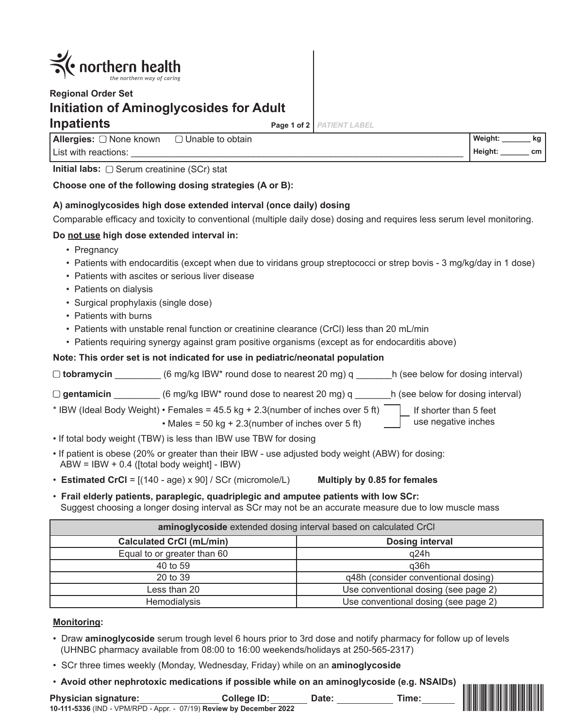

# **Regional Order Set Initiation of Aminoglycosides for Adult Inpatients Page 1 of 2**

*PATIENT LABEL*

**Allergies:** None known List with reactions: Unable to obtain **Weight: \_\_\_\_\_\_\_ kg**

**Initial labs:** □ Serum creatinine (SCr) stat

## **Choose one of the following dosing strategies (A or B):**

## **A) aminoglycosides high dose extended interval (once daily) dosing**

Comparable efficacy and toxicity to conventional (multiple daily dose) dosing and requires less serum level monitoring.

## **Do not use high dose extended interval in:**

- Pregnancy
- Patients with endocarditis (except when due to viridans group streptococci or strep bovis 3 mg/kg/day in 1 dose)
- Patients with ascites or serious liver disease
- Patients on dialysis
- Surgical prophylaxis (single dose)
- Patients with burns
- Patients with unstable renal function or creatinine clearance (CrCl) less than 20 mL/min
- Patients requiring synergy against gram positive organisms (except as for endocarditis above)

#### **Note: This order set is not indicated for use in pediatric/neonatal population**

| $\Box$ tobramycin | (6 mg/kg IBW* round dose to nearest 20 mg) q | h (see below for dosing interval) |
|-------------------|----------------------------------------------|-----------------------------------|
| $\Box$ gentamicin | (6 mg/kg IBW* round dose to nearest 20 mg) q | h (see below for dosing interval) |

\* IBW (Ideal Body Weight) • Females =  $45.5$  kg +  $2.3$ (number of inches over 5 ft) If shorter than 5 feet

• Males =  $50 \text{ kg} + 2.3 \text{(number of inches over 5 ft)}$ 

- If total body weight (TBW) is less than IBW use TBW for dosing
- If patient is obese (20% or greater than their IBW use adjusted body weight (ABW) for dosing: ABW = IBW + 0.4 ([total body weight] - IBW)
- **Estimated CrCl** = [(140 age) x 90] / SCr (micromole/L) **Multiply by 0.85 for females**
- **Frail elderly patients, paraplegic, quadriplegic and amputee patients with low SCr:** Suggest choosing a longer dosing interval as SCr may not be an accurate measure due to low muscle mass

| aminoglycoside extended dosing interval based on calculated CrCl |                                      |  |  |
|------------------------------------------------------------------|--------------------------------------|--|--|
| <b>Calculated CrCl (mL/min)</b>                                  | <b>Dosing interval</b>               |  |  |
| Equal to or greater than 60                                      | q24h                                 |  |  |
| 40 to 59                                                         | q36h                                 |  |  |
| 20 to 39                                                         | q48h (consider conventional dosing)  |  |  |
| Less than 20                                                     | Use conventional dosing (see page 2) |  |  |
| <b>Hemodialysis</b>                                              | Use conventional dosing (see page 2) |  |  |

#### **Monitoring:**

- Draw **aminoglycoside** serum trough level 6 hours prior to 3rd dose and notify pharmacy for follow up of levels (UHNBC pharmacy available from 08:00 to 16:00 weekends/holidays at 250-565-2317)
- SCr three times weekly (Monday, Wednesday, Friday) while on an **aminoglycoside**
- **Avoid other nephrotoxic medications if possible while on an aminoglycoside (e.g. NSAIDs)**

**10-111-5336** (IND - VPM/RPD - Appr. - 07/19) **Review by December 2022** 10-111-5336 **Physician signature: College ID: Date: Time:**



use negative inches

**Height: \_\_\_\_\_\_\_ cm**